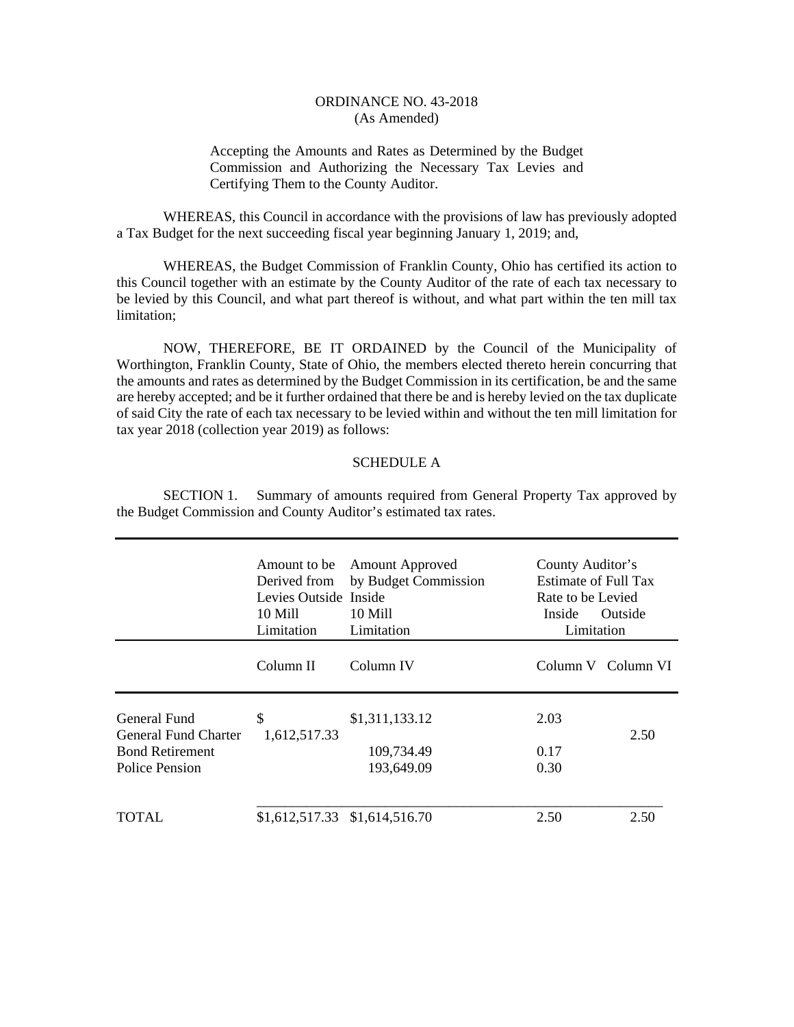## ORDINANCE NO. 43-2018 (As Amended)

Accepting the Amounts and Rates as Determined by the Budget Commission and Authorizing the Necessary Tax Levies and Certifying Them to the County Auditor.

 WHEREAS, this Council in accordance with the provisions of law has previously adopted a Tax Budget for the next succeeding fiscal year beginning January 1, 2019; and,

 WHEREAS, the Budget Commission of Franklin County, Ohio has certified its action to this Council together with an estimate by the County Auditor of the rate of each tax necessary to be levied by this Council, and what part thereof is without, and what part within the ten mill tax limitation;

 NOW, THEREFORE, BE IT ORDAINED by the Council of the Municipality of Worthington, Franklin County, State of Ohio, the members elected thereto herein concurring that the amounts and rates as determined by the Budget Commission in its certification, be and the same are hereby accepted; and be it further ordained that there be and is hereby levied on the tax duplicate of said City the rate of each tax necessary to be levied within and without the ten mill limitation for tax year 2018 (collection year 2019) as follows:

## SCHEDULE A

 SECTION 1. Summary of amounts required from General Property Tax approved by the Budget Commission and County Auditor's estimated tax rates.

|                                                                                  | Amount to be<br>Derived from<br>Levies Outside Inside<br>10 Mill<br>Limitation | <b>Amount Approved</b><br>by Budget Commission<br>10 Mill<br>Limitation | County Auditor's<br>Estimate of Full Tax<br>Rate to be Levied<br>Inside<br>Outside<br>Limitation |                    |
|----------------------------------------------------------------------------------|--------------------------------------------------------------------------------|-------------------------------------------------------------------------|--------------------------------------------------------------------------------------------------|--------------------|
|                                                                                  | Column II                                                                      | Column IV                                                               |                                                                                                  | Column V Column VI |
| General Fund<br>General Fund Charter<br><b>Bond Retirement</b><br>Police Pension | \$<br>1,612,517.33                                                             | \$1,311,133.12<br>109,734.49<br>193,649.09                              | 2.03<br>0.17<br>0.30                                                                             | 2.50               |
| TOTAL.                                                                           | \$1,612,517.33 \$1,614,516.70                                                  |                                                                         | 2.50                                                                                             | 2.50               |